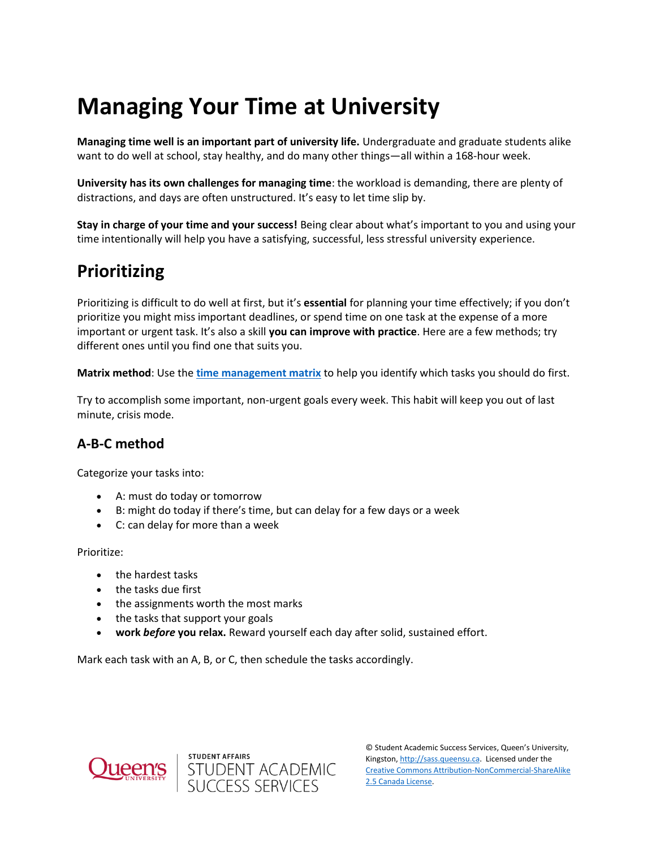# **Managing Your Time at University**

**Managing time well is an important part of university life.** Undergraduate and graduate students alike want to do well at school, stay healthy, and do many other things—all within a 168-hour week.

**University has its own challenges for managing time**: the workload is demanding, there are plenty of distractions, and days are often unstructured. It's easy to let time slip by.

**Stay in charge of your time and your success!** Being clear about what's important to you and using your time intentionally will help you have a satisfying, successful, less stressful university experience.

## **Prioritizing**

Prioritizing is difficult to do well at first, but it's **essential** for planning your time effectively; if you don't prioritize you might miss important deadlines, or spend time on one task at the expense of a more important or urgent task. It's also a skill **you can improve with practice**. Here are a few methods; try different ones until you find one that suits you.

**Matrix method**: Use the **[time management matrix](https://sass.queensu.ca/wp-content/uploads/2017/10/Time-Management-Matrix.pdf)** to help you identify which tasks you should do first.

Try to accomplish some important, non-urgent goals every week. This habit will keep you out of last minute, crisis mode.

### **A-B-C method**

Categorize your tasks into:

- A: must do today or tomorrow
- B: might do today if there's time, but can delay for a few days or a week
- C: can delay for more than a week

Prioritize:

- the hardest tasks
- the tasks due first
- the assignments worth the most marks
- the tasks that support your goals
- **work** *before* **you relax.** Reward yourself each day after solid, sustained effort.

Mark each task with an A, B, or C, then schedule the tasks accordingly.



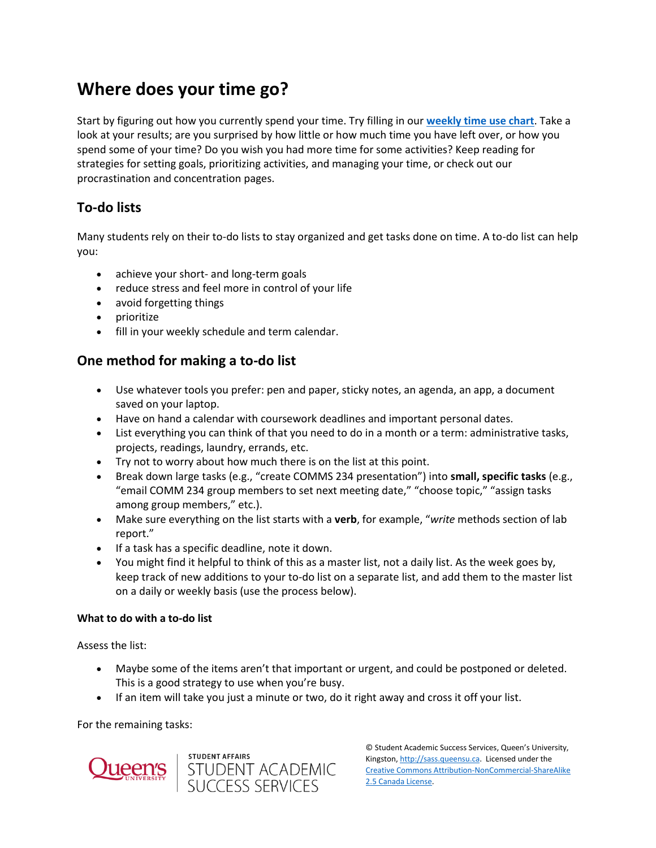## **Where does your time go?**

Start by figuring out how you currently spend your time. Try filling in our **[weekly time use chart](https://sass.queensu.ca/wp-content/uploads/2019/05/Weekly-time-use-chart-2019.pdf)**. Take a look at your results; are you surprised by how little or how much time you have left over, or how you spend some of your time? Do you wish you had more time for some activities? Keep reading for strategies for setting goals, prioritizing activities, and managing your time, or check out our procrastination and concentration pages.

### **To-do lists**

Many students rely on their to-do lists to stay organized and get tasks done on time. A to-do list can help you:

- achieve your short- and long-term goals
- reduce stress and feel more in control of your life
- avoid forgetting things
- prioritize
- fill in your weekly schedule and term calendar.

### **One method for making a to-do list**

- Use whatever tools you prefer: pen and paper, sticky notes, an agenda, an app, a document saved on your laptop.
- Have on hand a calendar with coursework deadlines and important personal dates.
- List everything you can think of that you need to do in a month or a term: administrative tasks, projects, readings, laundry, errands, etc.
- Try not to worry about how much there is on the list at this point.
- Break down large tasks (e.g., "create COMMS 234 presentation") into **small, specific tasks** (e.g., "email COMM 234 group members to set next meeting date," "choose topic," "assign tasks among group members," etc.).
- Make sure everything on the list starts with a **verb**, for example, "*write* methods section of lab report."
- If a task has a specific deadline, note it down.
- You might find it helpful to think of this as a master list, not a daily list. As the week goes by, keep track of new additions to your to-do list on a separate list, and add them to the master list on a daily or weekly basis (use the process below).

#### **What to do with a to-do list**

Assess the list:

- Maybe some of the items aren't that important or urgent, and could be postponed or deleted. This is a good strategy to use when you're busy.
- If an item will take you just a minute or two, do it right away and cross it off your list.

student affairs<br>STUDENT ACADEMIC<br>SUCCESS SERVICES

For the remaining tasks:

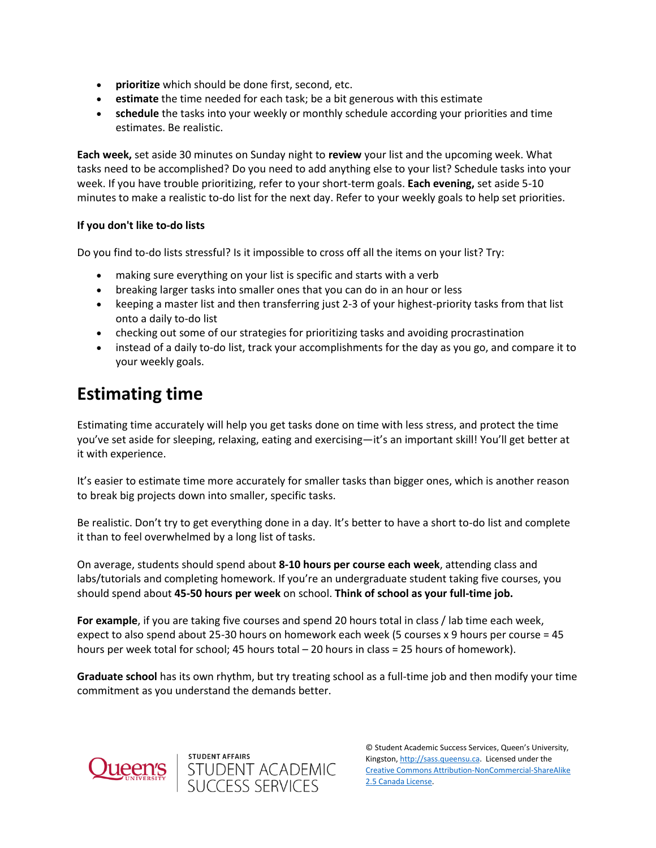- **prioritize** which should be done first, second, etc.
- **estimate** the time needed for each task; be a bit generous with this estimate
- **schedule** the tasks into your weekly or monthly schedule according your priorities and time estimates. Be realistic.

**Each week,** set aside 30 minutes on Sunday night to **review** your list and the upcoming week. What tasks need to be accomplished? Do you need to add anything else to your list? Schedule tasks into your week. If you have trouble prioritizing, refer to your short-term goals. **Each evening,** set aside 5-10 minutes to make a realistic to-do list for the next day. Refer to your weekly goals to help set priorities.

#### **If you don't like to-do lists**

Do you find to-do lists stressful? Is it impossible to cross off all the items on your list? Try:

- making sure everything on your list is specific and starts with a verb
- breaking larger tasks into smaller ones that you can do in an hour or less
- keeping a master list and then transferring just 2-3 of your highest-priority tasks from that list onto a daily to-do list
- checking out some of our strategies for prioritizing tasks and avoiding procrastination
- instead of a daily to-do list, track your accomplishments for the day as you go, and compare it to your weekly goals.

### **Estimating time**

Estimating time accurately will help you get tasks done on time with less stress, and protect the time you've set aside for sleeping, relaxing, eating and exercising—it's an important skill! You'll get better at it with experience.

It's easier to estimate time more accurately for smaller tasks than bigger ones, which is another reason to break big projects down into smaller, specific tasks.

Be realistic. Don't try to get everything done in a day. It's better to have a short to-do list and complete it than to feel overwhelmed by a long list of tasks.

On average, students should spend about **8-10 hours per course each week**, attending class and labs/tutorials and completing homework. If you're an undergraduate student taking five courses, you should spend about **45-50 hours per week** on school. **Think of school as your full-time job.**

**For example**, if you are taking five courses and spend 20 hours total in class / lab time each week, expect to also spend about 25-30 hours on homework each week (5 courses x 9 hours per course = 45 hours per week total for school; 45 hours total – 20 hours in class = 25 hours of homework).

**Graduate school** has its own rhythm, but try treating school as a full-time job and then modify your time commitment as you understand the demands better.



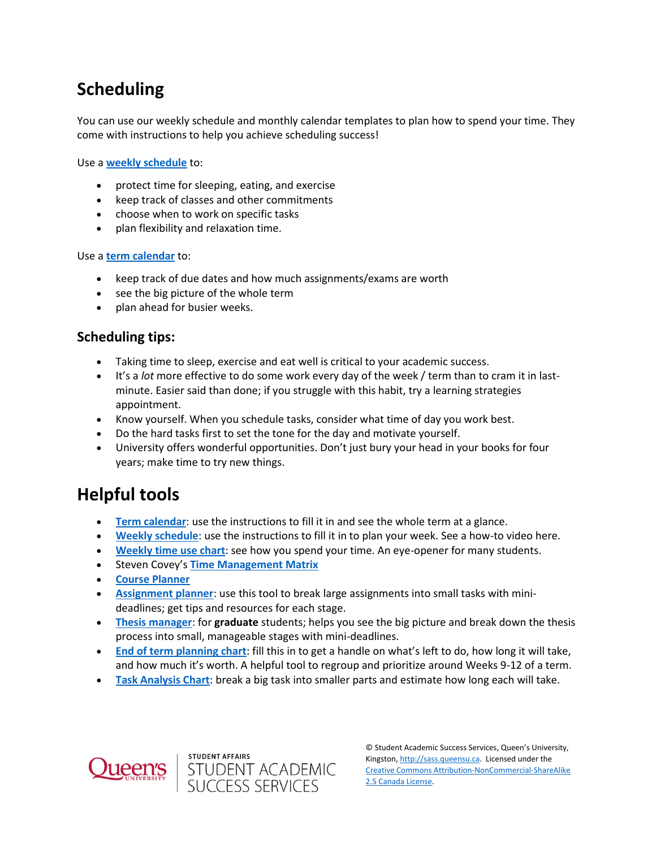## **Scheduling**

You can use our weekly schedule and monthly calendar templates to plan how to spend your time. They come with instructions to help you achieve scheduling success!

Use a **[weekly schedule](https://sass.queensu.ca/wp-content/uploads/2021/10/Weekly-Schedule-Template-2019_fillable.pdf)** to:

- protect time for sleeping, eating, and exercise
- keep track of classes and other commitments
- choose when to work on specific tasks
- plan flexibility and relaxation time.

#### Use a **[term calendar](https://sass.queensu.ca/wp-content/uploads/2019/02/Term-Calendar-Template-2019.pdf)** to:

- keep track of due dates and how much assignments/exams are worth
- see the big picture of the whole term
- plan ahead for busier weeks.

### **Scheduling tips:**

- Taking time to sleep, exercise and eat well is critical to your academic success.
- It's a *lot* more effective to do some work every day of the week / term than to cram it in lastminute. Easier said than done; if you struggle with this habit, try a learning strategies appointment.
- Know yourself. When you schedule tasks, consider what time of day you work best.
- Do the hard tasks first to set the tone for the day and motivate yourself.
- University offers wonderful opportunities. Don't just bury your head in your books for four years; make time to try new things.

## **Helpful tools**

- **[Term calendar](https://sass.queensu.ca/wp-content/uploads/2019/02/Term-Calendar-Template-2019.pdf)**: use the instructions to fill it in and see the whole term at a glance.
- **[Weekly schedule](https://sass.queensu.ca/wp-content/uploads/2019/02/Weekly-Schedule-Template-2019.docx.pdf)**: use the instructions to fill it in to plan your week. See a how-to video here.
- **[Weekly time use chart](https://sass.queensu.ca/wp-content/uploads/2019/05/Weekly-time-use-chart-2019.pdf)**: see how you spend your time. An eye-opener for many students.
- **Steven Covey's [Time Management Matrix](https://sass.queensu.ca/wp-content/uploads/2017/10/Time-Management-Matrix.pdf)**
- **[Course Planner](https://sass.queensu.ca/wp-content/uploads/2019/05/Course-planner-2019.pdf)**
- **[Assignment planner](https://wp3-dev.its.queensu.ca/ha/sasswww/assignments)**: use this tool to break large assignments into small tasks with minideadlines; get tips and resources for each stage.
- **[Thesis manager](https://www.queensu.ca/sgs/research/thesis-dissertation-showcase)**: for **graduate** students; helps you see the big picture and break down the thesis process into small, manageable stages with mini-deadlines.
- **[End of term planning chart](https://sass.queensu.ca/wp-content/uploads/2019/05/End-of-term-planning-chart-2019.pdf)**: fill this in to get a handle on what's left to do, how long it will take, and how much it's worth. A helpful tool to regroup and prioritize around Weeks 9-12 of a term.
- **[Task Analysis Chart](https://sass.queensu.ca/wp-content/uploads/2019/05/Task-Analysis-Chart-and-Instructions-Fillable.pdf)**: break a big task into smaller parts and estimate how long each will take.



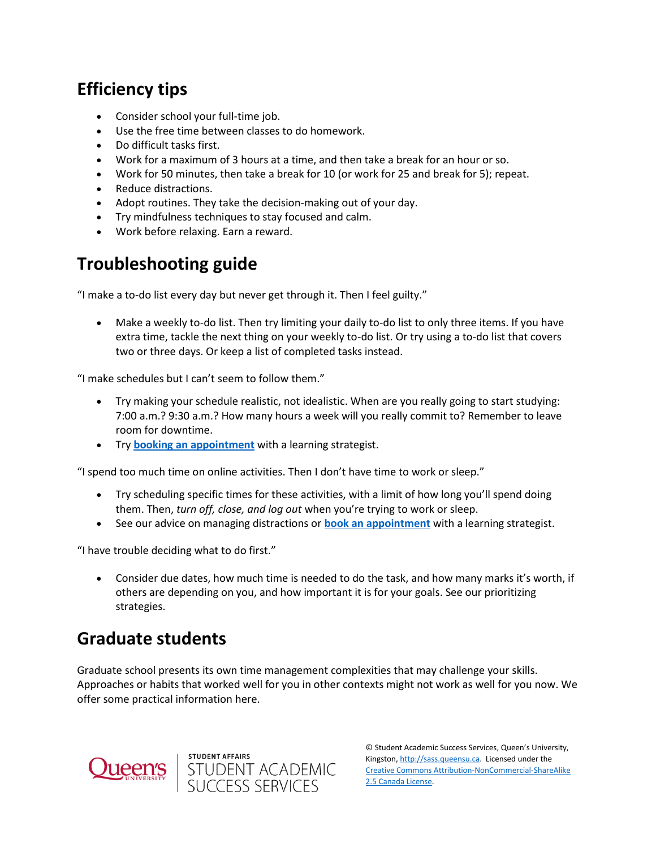## **Efficiency tips**

- Consider school your full-time job.
- Use the free time between classes to do homework.
- Do difficult tasks first.
- Work for a maximum of 3 hours at a time, and then take a break for an hour or so.
- Work for 50 minutes, then take a break for 10 (or work for 25 and break for 5); repeat.
- Reduce distractions.
- Adopt routines. They take the decision-making out of your day.
- Try mindfulness techniques to stay focused and calm.
- Work before relaxing. Earn a reward.

## **Troubleshooting guide**

"I make a to-do list every day but never get through it. Then I feel guilty."

 Make a weekly to-do list. Then try limiting your daily to-do list to only three items. If you have extra time, tackle the next thing on your weekly to-do list. Or try using a to-do list that covers two or three days. Or keep a list of completed tasks instead.

"I make schedules but I can't seem to follow them."

- Try making your schedule realistic, not idealistic. When are you really going to start studying: 7:00 a.m.? 9:30 a.m.? How many hours a week will you really commit to? Remember to leave room for downtime.
- Try **[booking an appointment](https://wp3-dev.its.queensu.ca/ha/sasswww/academic-support/appointments)** with a learning strategist.

"I spend too much time on online activities. Then I don't have time to work or sleep."

- Try scheduling specific times for these activities, with a limit of how long you'll spend doing them. Then, *turn off, close, and log out* when you're trying to work or sleep.
- See our advice on managing distractions or **[book an appointment](https://wp3-dev.its.queensu.ca/ha/sasswww/academic-support/appointments)** with a learning strategist.

"I have trouble deciding what to do first."

 Consider due dates, how much time is needed to do the task, and how many marks it's worth, if others are depending on you, and how important it is for your goals. See our prioritizing strategies.

## **Graduate students**

Graduate school presents its own time management complexities that may challenge your skills. Approaches or habits that worked well for you in other contexts might not work as well for you now. We offer some practical information here.



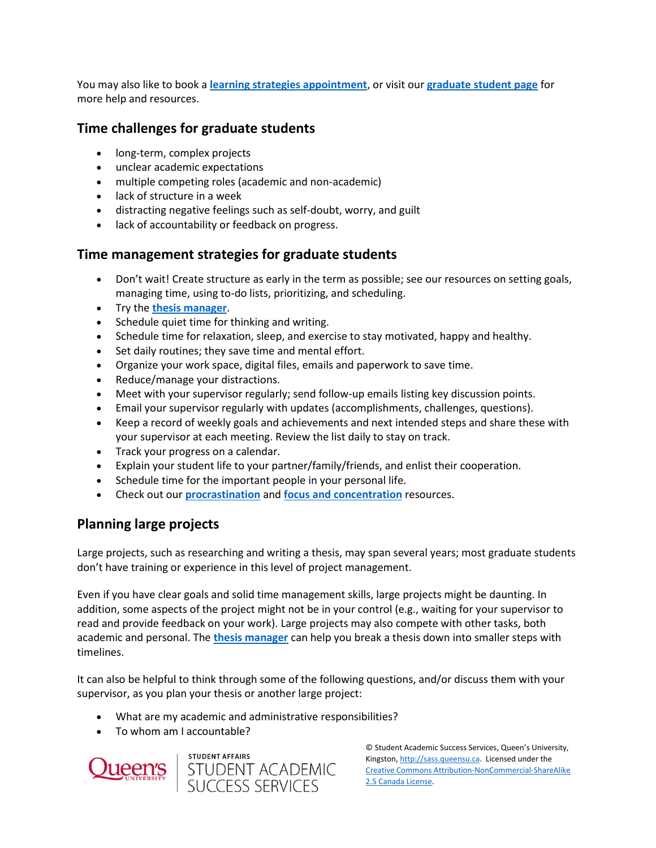You may also like to book a **[learning strategies appointment](https://wp3-dev.its.queensu.ca/ha/sasswww/academic-support/appointments)**, or visit our **[graduate student page](https://wp3-dev.its.queensu.ca/ha/sasswww/academic-support/special-support/graduate-student-support)** for more help and resources.

### **Time challenges for graduate students**

- long-term, complex projects
- unclear academic expectations
- multiple competing roles (academic and non-academic)
- lack of structure in a week
- distracting negative feelings such as self-doubt, worry, and guilt
- lack of accountability or feedback on progress.

### **Time management strategies for graduate students**

- Don't wait! Create structure as early in the term as possible; see our resources on setting goals, managing time, using to-do lists, prioritizing, and scheduling.
- Try the **[thesis manager](https://www.queensu.ca/sgs/research/thesis-dissertation-showcase)**.
- Schedule quiet time for thinking and writing.
- Schedule time for relaxation, sleep, and exercise to stay motivated, happy and healthy.
- Set daily routines; they save time and mental effort.
- Organize your work space, digital files, emails and paperwork to save time.
- Reduce/manage your distractions.
- Meet with your supervisor regularly; send follow-up emails listing key discussion points.
- Email your supervisor regularly with updates (accomplishments, challenges, questions).
- Keep a record of weekly goals and achievements and next intended steps and share these with your supervisor at each meeting. Review the list daily to stay on track.
- Track your progress on a calendar.
- Explain your student life to your partner/family/friends, and enlist their cooperation.
- Schedule time for the important people in your personal life.
- Check out our **[procrastination](https://wp3-dev.its.queensu.ca/ha/sasswww/resources/motivation-and-procrastination)** and **[focus and concentration](https://wp3-dev.its.queensu.ca/ha/sasswww/resources/focus-and-concentration)** resources.

### **Planning large projects**

Large projects, such as researching and writing a thesis, may span several years; most graduate students don't have training or experience in this level of project management.

Even if you have clear goals and solid time management skills, large projects might be daunting. In addition, some aspects of the project might not be in your control (e.g., waiting for your supervisor to read and provide feedback on your work). Large projects may also compete with other tasks, both academic and personal. The **[thesis manager](https://www.queensu.ca/sgs/research/thesis-dissertation-showcase)** can help you break a thesis down into smaller steps with timelines.

It can also be helpful to think through some of the following questions, and/or discuss them with your supervisor, as you plan your thesis or another large project:

- What are my academic and administrative responsibilities?
- To whom am I accountable?